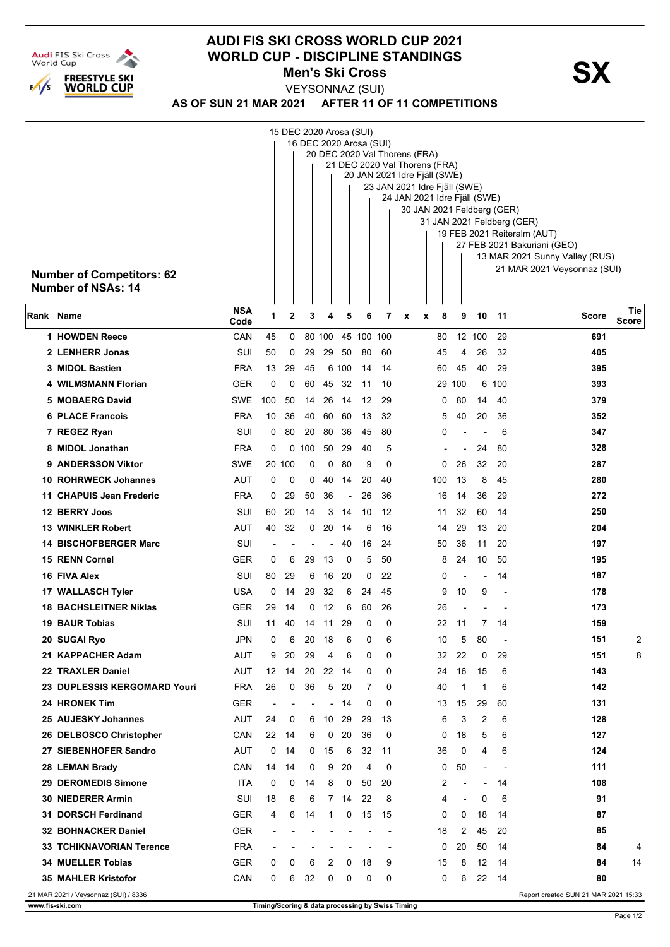

## **AUDI FIS SKI CROSS WORLD CUP 2021 WORLD CUP - DISCIPLINE STANDINGS<br>Men's Ski Cross Men's Ski Cross**

**AS OF SUN 21 MAR 2021 AFTER 11 OF 11 COMPETITIONS** VEYSONNAZ (SUI)

|                                                        | 15 DEC 2020 Arosa (SUI)<br>16 DEC 2020 Arosa (SUI)<br>20 DEC 2020 Val Thorens (FRA)<br>21 DEC 2020 Val Thorens (FRA)<br>20 JAN 2021 Idre Fjäll (SWE)                                                                                                    |                    |     |             |                |                          |          |            |          |                  |     |          |                          |                          |                          |                                      |                     |
|--------------------------------------------------------|---------------------------------------------------------------------------------------------------------------------------------------------------------------------------------------------------------------------------------------------------------|--------------------|-----|-------------|----------------|--------------------------|----------|------------|----------|------------------|-----|----------|--------------------------|--------------------------|--------------------------|--------------------------------------|---------------------|
|                                                        | 23 JAN 2021 Idre Fjäll (SWE)<br>24 JAN 2021 Idre Fjäll (SWE)<br>30 JAN 2021 Feldberg (GER)<br>31 JAN 2021 Feldberg (GER)<br>19 FEB 2021 Reiteralm (AUT)<br>27 FEB 2021 Bakuriani (GEO)<br>13 MAR 2021 Sunny Valley (RUS)<br>21 MAR 2021 Veysonnaz (SUI) |                    |     |             |                |                          |          |            |          |                  |     |          |                          |                          |                          |                                      |                     |
| <b>Number of Competitors: 62</b><br>Number of NSAs: 14 |                                                                                                                                                                                                                                                         |                    |     |             |                |                          |          |            |          |                  |     |          |                          |                          |                          |                                      |                     |
| Rank Name                                              |                                                                                                                                                                                                                                                         | <b>NSA</b><br>Code | 1   | $\mathbf 2$ | 3              | 4                        | 5        | 6          | 7        | $\boldsymbol{x}$ | x   | 8        | 9                        | 10                       | 11                       | Score                                | Tie<br><b>Score</b> |
|                                                        | 1 HOWDEN Reece                                                                                                                                                                                                                                          | CAN                | 45  | 0           |                | 80 100                   |          | 45 100 100 |          |                  |     | 80       |                          | 12 100                   | 29                       | 691                                  |                     |
|                                                        | 2 LENHERR Jonas                                                                                                                                                                                                                                         | SUI                | 50  | 0           | 29             | 29                       | 50       | 80         | 60       |                  |     | 45       | 4                        | 26                       | 32                       | 405                                  |                     |
|                                                        | 3 MIDOL Bastien                                                                                                                                                                                                                                         | <b>FRA</b>         | 13  | 29          | 45             |                          | 6 100    | 14         | 14       |                  |     | 60       | 45                       | 40                       | 29                       | 395                                  |                     |
|                                                        | 4 WILMSMANN Florian                                                                                                                                                                                                                                     | GER                | 0   | 0           | 60             | 45                       | 32       | 11         | 10       |                  |     | 29       | 100                      | 6                        | 100                      | 393                                  |                     |
|                                                        | 5 MOBAERG David                                                                                                                                                                                                                                         | SWE                | 100 | 50          | 14             | 26                       | 14       | 12         | 29       |                  |     | 0        | 80                       | 14                       | 40                       | 379                                  |                     |
|                                                        | <b>6 PLACE Francois</b>                                                                                                                                                                                                                                 | <b>FRA</b>         | 10  | 36          | 40             | 60                       | 60       | 13         | 32       |                  |     | 5        | 40                       | 20                       | 36                       | 352                                  |                     |
|                                                        | 7 REGEZ Ryan                                                                                                                                                                                                                                            | SUI                | 0   | 80          | 20             | 80                       | 36       | 45         | 80       |                  |     | 0        |                          |                          | 6                        | 347                                  |                     |
|                                                        | 8 MIDOL Jonathan                                                                                                                                                                                                                                        | <b>FRA</b>         | 0   | 0           | 100            | 50                       | 29       | 40         | 5        |                  |     |          |                          | 24                       | 80                       | 328                                  |                     |
| 9                                                      | <b>ANDERSSON Viktor</b>                                                                                                                                                                                                                                 | <b>SWE</b>         |     | 20 100      | 0              | 0                        | 80       | 9          | 0        |                  |     | 0        | 26                       | 32                       | 20                       | 287                                  |                     |
|                                                        | <b>10 ROHRWECK Johannes</b>                                                                                                                                                                                                                             | <b>AUT</b>         | 0   | 0           | 0              | 40                       | 14       | 20         | 40       |                  | 100 |          | 13                       | 8                        | 45                       | 280                                  |                     |
|                                                        | 11 CHAPUIS Jean Frederic                                                                                                                                                                                                                                | <b>FRA</b>         | 0   | 29          | 50             | 36                       | ÷,       | 26         | 36       |                  |     | 16       | 14                       | 36                       | 29                       | 272                                  |                     |
|                                                        | 12 BERRY Joos<br><b>13 WINKLER Robert</b>                                                                                                                                                                                                               | SUI<br>AUT         | 60  | 20<br>32    | 14<br>0        | 3                        | 14<br>14 | 10<br>6    | 12<br>16 |                  |     | 11       | 32                       | 60                       | 14<br>20                 | 250<br>204                           |                     |
|                                                        | <b>14 BISCHOFBERGER Marc</b>                                                                                                                                                                                                                            | SUI                | 40  |             |                | 20                       | 40       | 16         | 24       |                  |     | 14<br>50 | 29<br>36                 | 13<br>11                 | 20                       | 197                                  |                     |
|                                                        | <b>15 RENN Cornel</b>                                                                                                                                                                                                                                   | <b>GER</b>         | 0   | 6           | 29             | 13                       | 0        | 5          | 50       |                  |     | 8        | 24                       | 10                       | 50                       | 195                                  |                     |
|                                                        | 16 FIVA Alex                                                                                                                                                                                                                                            | SUI                | 80  | 29          | 6              | 16                       | 20       | 0          | 22       |                  |     | 0        |                          | $\blacksquare$           | 14                       | 187                                  |                     |
|                                                        | 17 WALLASCH Tyler                                                                                                                                                                                                                                       | USA                | 0   | 14          | 29             | 32                       | 6        | 24         | 45       |                  |     | 9        | 10                       | 9                        |                          | 178                                  |                     |
|                                                        | <b>18 BACHSLEITNER Niklas</b>                                                                                                                                                                                                                           | GER                | 29  | 14          | 0              | 12                       | 6        | 60         | 26       |                  |     | 26       |                          |                          |                          | 173                                  |                     |
|                                                        | <b>19 BAUR Tobias</b>                                                                                                                                                                                                                                   | SUI                | 11  | 40          | 14             | 11                       | 29       | 0          | 0        |                  |     | 22       | 11                       | 7                        | 14                       | 159                                  |                     |
|                                                        | 20 SUGAI Ryo                                                                                                                                                                                                                                            | <b>JPN</b>         | 0   | 6           | 20             | 18                       | 6        | 0          | 6        |                  |     | 10       | 5                        | 80                       | $\overline{\phantom{a}}$ | 151                                  | $\overline{2}$      |
|                                                        | 21 KAPPACHER Adam                                                                                                                                                                                                                                       | AUT                | 9   | 20          | 29             | 4                        | 6        | 0          | 0        |                  |     | 32       | 22                       | 0                        | 29                       | 151                                  | 8                   |
|                                                        | 22 TRAXLER Daniel                                                                                                                                                                                                                                       | AUT                | 12  | 14          | 20             | 22                       | 14       | 0          | 0        |                  |     | 24       | 16                       | 15                       | 6                        | 143                                  |                     |
|                                                        | 23 DUPLESSIS KERGOMARD Youri                                                                                                                                                                                                                            | <b>FRA</b>         | 26  | 0           | 36             | 5                        | 20       | 7          | 0        |                  |     | 40       | 1                        | 1                        | 6                        | 142                                  |                     |
|                                                        | 24 HRONEK Tim                                                                                                                                                                                                                                           | <b>GER</b>         | L,  |             | $\blacksquare$ | $\overline{\phantom{0}}$ | 14       | 0          | $\Omega$ |                  |     | 13       | 15                       | 29                       | 60                       | 131                                  |                     |
|                                                        | 25 AUJESKY Johannes                                                                                                                                                                                                                                     | AUT                | 24  | 0           | 6              | 10                       | 29       | 29         | 13       |                  |     | 6        | 3                        | 2                        | 6                        | 128                                  |                     |
|                                                        | 26 DELBOSCO Christopher                                                                                                                                                                                                                                 | CAN                | 22  | 14          | 6              | 0                        | 20       | 36         | $\Omega$ |                  |     | 0        | 18                       | 5                        | 6                        | 127                                  |                     |
|                                                        | 27 SIEBENHOFER Sandro                                                                                                                                                                                                                                   | AUT                | 0   | 14          | 0              | 15                       | 6        | 32         | 11       |                  |     | 36       | 0                        | 4                        | 6                        | 124                                  |                     |
|                                                        | 28 LEMAN Brady                                                                                                                                                                                                                                          | CAN                | 14  | 14          | 0              | 9                        | 20       | 4          | 0        |                  |     | 0        | 50                       | ÷                        |                          | 111                                  |                     |
|                                                        | 29 DEROMEDIS Simone                                                                                                                                                                                                                                     | ITA                | 0   | 0           | 14             | 8                        | 0        | 50         | 20       |                  |     | 2        | $\overline{a}$           | $\overline{\phantom{a}}$ | 14                       | 108                                  |                     |
|                                                        | <b>30 NIEDERER Armin</b>                                                                                                                                                                                                                                | SUI                | 18  | 6           | 6              | 7                        | 14       | 22         | 8        |                  |     | 4        | $\overline{\phantom{a}}$ | 0                        | 6                        | 91                                   |                     |
|                                                        | 31 DORSCH Ferdinand                                                                                                                                                                                                                                     | <b>GER</b>         | 4   | 6           | 14             | 1                        | 0        | 15         | 15       |                  |     | $\Omega$ | 0                        | 18                       | 14                       | 87                                   |                     |
|                                                        | <b>32 BOHNACKER Daniel</b>                                                                                                                                                                                                                              | <b>GER</b>         |     |             |                |                          |          |            |          |                  |     | 18       | 2                        | 45                       | 20                       | 85                                   |                     |
|                                                        | <b>33 TCHIKNAVORIAN Terence</b>                                                                                                                                                                                                                         | <b>FRA</b>         |     |             |                |                          |          |            |          |                  |     | 0        | 20                       | 50                       | 14                       | 84                                   | 4                   |
|                                                        | <b>34 MUELLER Tobias</b>                                                                                                                                                                                                                                | <b>GER</b>         | 0   | 0           | 6              | 2                        | 0        | 18         | 9        |                  |     | 15       | 8                        | 12                       | 14                       | 84                                   | 14                  |
|                                                        | 35 MAHLER Kristofor                                                                                                                                                                                                                                     | CAN                | 0   | 6           | 32             | 0                        | 0        | 0          | 0        |                  |     | 0        | 6                        | 22                       | 14                       | 80                                   |                     |
|                                                        | 21 MAR 2021 / Veysonnaz (SUI) / 8336                                                                                                                                                                                                                    |                    |     |             |                |                          |          |            |          |                  |     |          |                          |                          |                          | Report created SUN 21 MAR 2021 15:33 |                     |